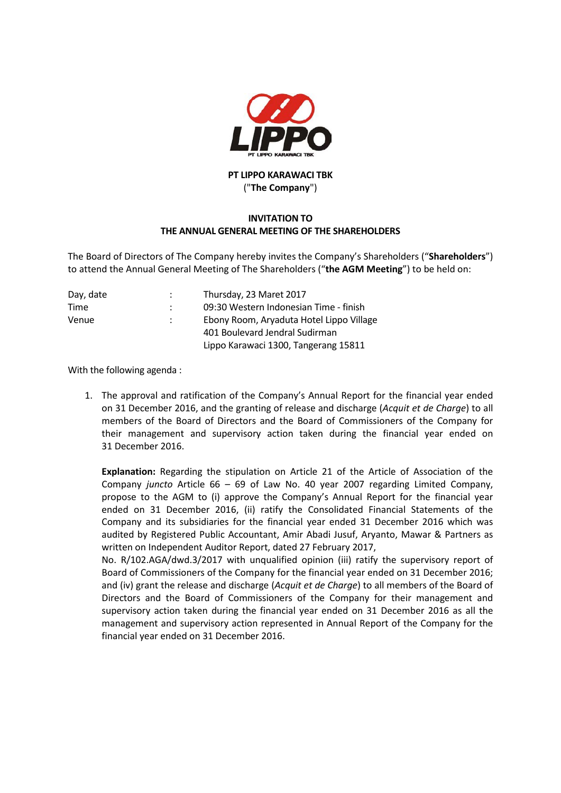

## **PT LIPPO KARAWACI TBK** ("**The Company**")

## **INVITATION TO THE ANNUAL GENERAL MEETING OF THE SHAREHOLDERS**

The Board of Directors of The Company hereby invites the Company's Shareholders ("**Shareholders**") to attend the Annual General Meeting of The Shareholders ("**the AGM Meeting**") to be held on:

| Day, date | Thursday, 23 Maret 2017                  |
|-----------|------------------------------------------|
| Time      | 09:30 Western Indonesian Time - finish   |
| Venue     | Ebony Room, Aryaduta Hotel Lippo Village |
|           | 401 Boulevard Jendral Sudirman           |
|           | Lippo Karawaci 1300, Tangerang 15811     |

With the following agenda :

1. The approval and ratification of the Company's Annual Report for the financial year ended on 31 December 2016, and the granting of release and discharge (*Acquit et de Charge*) to all members of the Board of Directors and the Board of Commissioners of the Company for their management and supervisory action taken during the financial year ended on 31 December 2016.

**Explanation:** Regarding the stipulation on Article 21 of the Article of Association of the Company *juncto* Article 66 – 69 of Law No. 40 year 2007 regarding Limited Company, propose to the AGM to (i) approve the Company's Annual Report for the financial year ended on 31 December 2016, (ii) ratify the Consolidated Financial Statements of the Company and its subsidiaries for the financial year ended 31 December 2016 which was audited by Registered Public Accountant, Amir Abadi Jusuf, Aryanto, Mawar & Partners as written on Independent Auditor Report, dated 27 February 2017,

No. R/102.AGA/dwd.3/2017 with unqualified opinion (iii) ratify the supervisory report of Board of Commissioners of the Company for the financial year ended on 31 December 2016; and (iv) grant the release and discharge (*Acquit et de Charge*) to all members of the Board of Directors and the Board of Commissioners of the Company for their management and supervisory action taken during the financial year ended on 31 December 2016 as all the management and supervisory action represented in Annual Report of the Company for the financial year ended on 31 December 2016.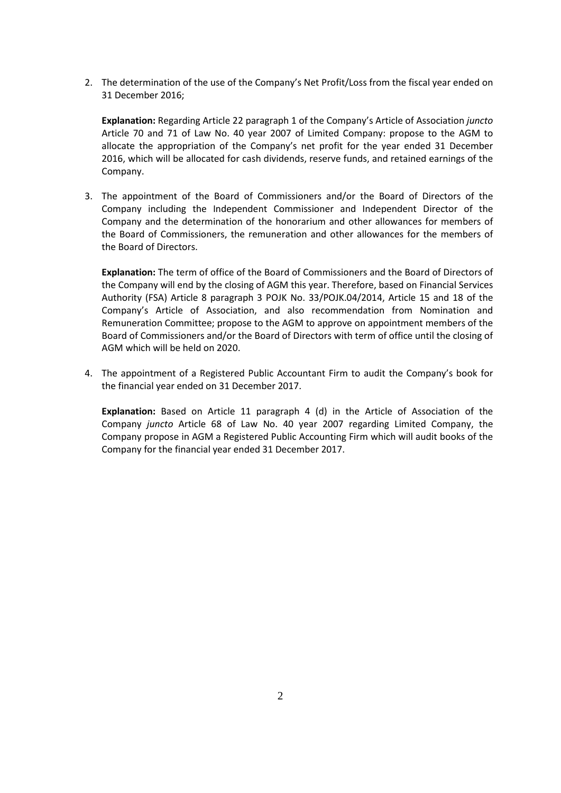2. The determination of the use of the Company's Net Profit/Loss from the fiscal year ended on 31 December 2016;

**Explanation:** Regarding Article 22 paragraph 1 of the Company's Article of Association *juncto* Article 70 and 71 of Law No. 40 year 2007 of Limited Company: propose to the AGM to allocate the appropriation of the Company's net profit for the year ended 31 December 2016, which will be allocated for cash dividends, reserve funds, and retained earnings of the Company.

3. The appointment of the Board of Commissioners and/or the Board of Directors of the Company including the Independent Commissioner and Independent Director of the Company and the determination of the honorarium and other allowances for members of the Board of Commissioners, the remuneration and other allowances for the members of the Board of Directors.

**Explanation:** The term of office of the Board of Commissioners and the Board of Directors of the Company will end by the closing of AGM this year. Therefore, based on Financial Services Authority (FSA) Article 8 paragraph 3 POJK No. 33/POJK.04/2014, Article 15 and 18 of the Company's Article of Association, and also recommendation from Nomination and Remuneration Committee; propose to the AGM to approve on appointment members of the Board of Commissioners and/or the Board of Directors with term of office until the closing of AGM which will be held on 2020.

4. The appointment of a Registered Public Accountant Firm to audit the Company's book for the financial year ended on 31 December 2017.

**Explanation:** Based on Article 11 paragraph 4 (d) in the Article of Association of the Company *juncto* Article 68 of Law No. 40 year 2007 regarding Limited Company, the Company propose in AGM a Registered Public Accounting Firm which will audit books of the Company for the financial year ended 31 December 2017.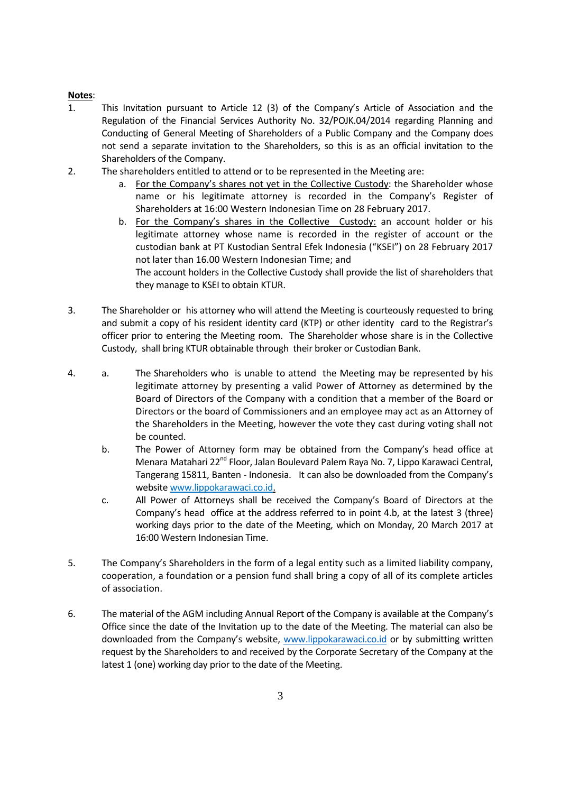## **Notes**:

- 1. This Invitation pursuant to Article 12 (3) of the Company's Article of Association and the Regulation of the Financial Services Authority No. 32/POJK.04/2014 regarding Planning and Conducting of General Meeting of Shareholders of a Public Company and the Company does not send a separate invitation to the Shareholders, so this is as an official invitation to the Shareholders of the Company.
- 2. The shareholders entitled to attend or to be represented in the Meeting are:
	- a. For the Company's shares not yet in the Collective Custody: the Shareholder whose name or his legitimate attorney is recorded in the Company's Register of Shareholders at 16:00 Western Indonesian Time on 28 February 2017.
	- b. For the Company's shares in the Collective Custody: an account holder or his legitimate attorney whose name is recorded in the register of account or the custodian bank at PT Kustodian Sentral Efek Indonesia ("KSEI") on 28 February 2017 not later than 16.00 Western Indonesian Time; and

The account holders in the Collective Custody shall provide the list of shareholders that they manage to KSEI to obtain KTUR.

- 3. The Shareholder or his attorney who will attend the Meeting is courteously requested to bring and submit a copy of his resident identity card (KTP) or other identity card to the Registrar's officer prior to entering the Meeting room. The Shareholder whose share is in the Collective Custody, shall bring KTUR obtainable through their broker or Custodian Bank.
- 4. a. The Shareholders who is unable to attend the Meeting may be represented by his legitimate attorney by presenting a valid Power of Attorney as determined by the Board of Directors of the Company with a condition that a member of the Board or Directors or the board of Commissioners and an employee may act as an Attorney of the Shareholders in the Meeting, however the vote they cast during voting shall not be counted.
	- b. The Power of Attorney form may be obtained from the Company's head office at Menara Matahari 22<sup>nd</sup> Floor, Jalan Boulevard Palem Raya No. 7, Lippo Karawaci Central, Tangerang 15811, Banten - Indonesia. It can also be downloaded from the Company's website www.lippokarawaci.co.id.
	- c. All Power of Attorneys shall be received the Company's Board of Directors at the Company's head office at the address referred to in point 4.b, at the latest 3 (three) working days prior to the date of the Meeting, which on Monday, 20 March 2017 at 16:00 Western Indonesian Time.
- 5. The Company's Shareholders in the form of a legal entity such as a limited liability company, cooperation, a foundation or a pension fund shall bring a copy of all of its complete articles of association.
- 6. The material of the AGM including Annual Report of the Company is available at the Company's Office since the date of the Invitation up to the date of the Meeting. The material can also be downloaded from the Company's website, [www.lippokarawaci.co.id](http://www.lippokarawaci.co.id/) or by submitting written request by the Shareholders to and received by the Corporate Secretary of the Company at the latest 1 (one) working day prior to the date of the Meeting.